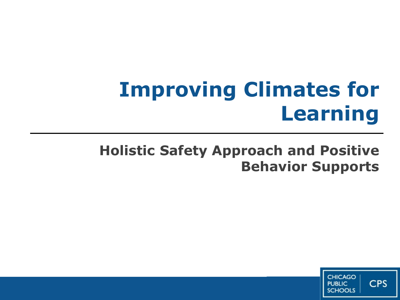# **Improving Climates for Learning**

## **Holistic Safety Approach and Positive Behavior Supports**

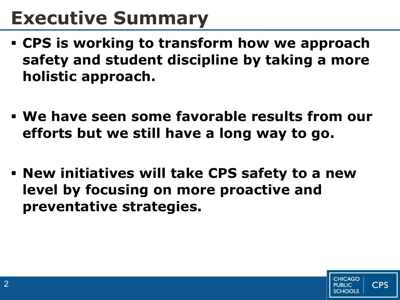## **Executive Summary**

- **CPS is working to transform how we approach safety and student discipline by taking a more holistic approach.**
- **We have seen some favorable results from our efforts but we still have a long way to go.**
- **New initiatives will take CPS safety to a new level by focusing on more proactive and preventative strategies.**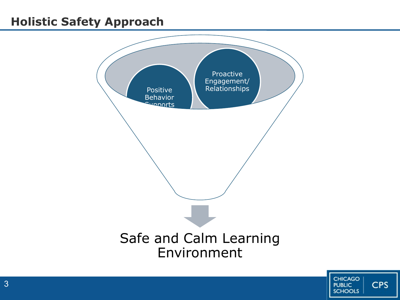### **Holistic Safety Approach**



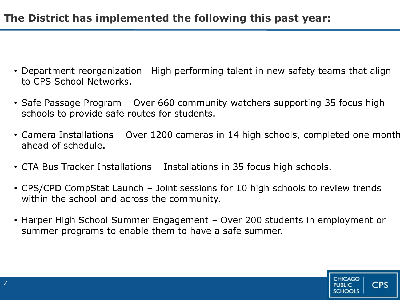- Department reorganization –High performing talent in new safety teams that align to CPS School Networks.
- Safe Passage Program Over 660 community watchers supporting 35 focus high schools to provide safe routes for students.
- Camera Installations Over 1200 cameras in 14 high schools, completed one month ahead of schedule.
- CTA Bus Tracker Installations Installations in 35 focus high schools.
- CPS/CPD CompStat Launch Joint sessions for 10 high schools to review trends within the school and across the community.
- Harper High School Summer Engagement Over 200 students in employment or summer programs to enable them to have a safe summer.

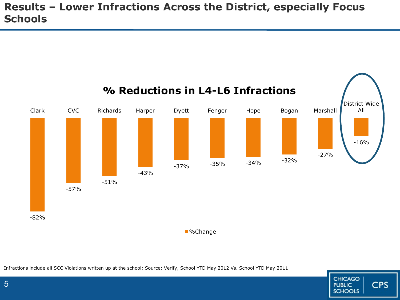#### **Results – Lower Infractions Across the District, especially Focus Schools**



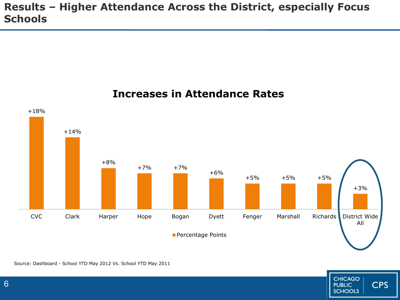#### **Results – Higher Attendance Across the District, especially Focus Schools**



#### **Increases in Attendance Rates**

Source: Dashboard - School YTD May 2012 Vs. School YTD May 2011

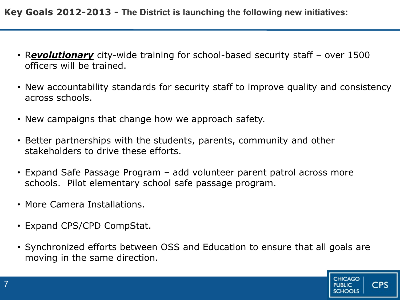**Key Goals 2012-2013 - The District is launching the following new initiatives:**

- R*evolutionary* city-wide training for school-based security staff over 1500 officers will be trained.
- New accountability standards for security staff to improve quality and consistency across schools.
- New campaigns that change how we approach safety.
- Better partnerships with the students, parents, community and other stakeholders to drive these efforts.
- Expand Safe Passage Program add volunteer parent patrol across more schools. Pilot elementary school safe passage program.
- More Camera Installations.
- Expand CPS/CPD CompStat.
- Synchronized efforts between OSS and Education to ensure that all goals are moving in the same direction.

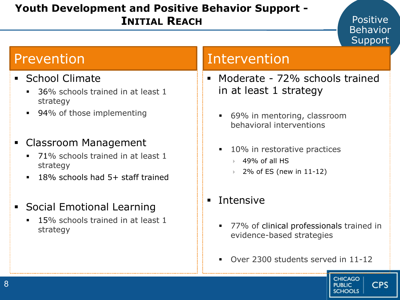#### **Youth Development and Positive Behavior Support - INITIAL REACH**

#### Positive Behavior Support

- **School Climate** 
	- 36% schools trained in at least 1 strategy
	- 94% of those implementing
- Classroom Management
	- 71% schools trained in at least 1 strategy
	- 18% schools had 5+ staff trained
- Social Emotional Learning
	- 15% schools trained in at least 1 strategy

### Prevention and Intervention

- Moderate 72% schools trained in at least 1 strategy
	- 69% in mentoring, classroom behavioral interventions
	- 10% in restorative practices
		- $\rightarrow$  49% of all HS
		- 2% of ES (new in 11-12)
- **Intensive** 
	- 77% of clinical professionals trained in evidence-based strategies
	- Over 2300 students served in 11-12

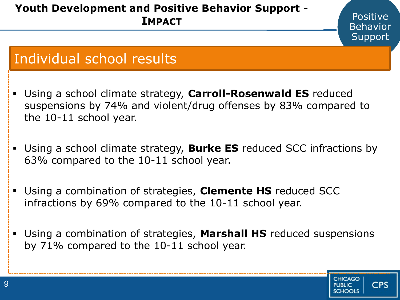#### **Youth Development and Positive Behavior Support - IMPACT**

## Individual school results

 Using a school climate strategy, **Carroll-Rosenwald ES** reduced suspensions by 74% and violent/drug offenses by 83% compared to the 10-11 school year.

**Positive** Behavior Support

**CHICAGO** 

**PLIBLIC** 

**CPS** 

- Using a school climate strategy, **Burke ES** reduced SCC infractions by 63% compared to the 10-11 school year.
- Using a combination of strategies, **Clemente HS** reduced SCC infractions by 69% compared to the 10-11 school year.
- Using a combination of strategies, **Marshall HS** reduced suspensions by 71% compared to the 10-11 school year.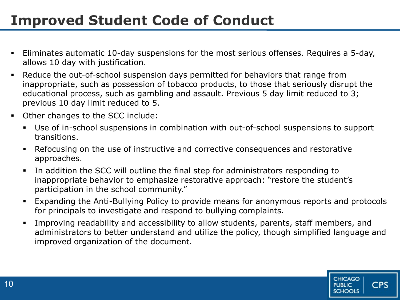## **Improved Student Code of Conduct**

- Eliminates automatic 10-day suspensions for the most serious offenses. Requires a 5-day, allows 10 day with justification.
- Reduce the out-of-school suspension days permitted for behaviors that range from inappropriate, such as possession of tobacco products, to those that seriously disrupt the educational process, such as gambling and assault. Previous 5 day limit reduced to 3; previous 10 day limit reduced to 5.
- Other changes to the SCC include:
	- Use of in-school suspensions in combination with out-of-school suspensions to support transitions.
	- Refocusing on the use of instructive and corrective consequences and restorative approaches.
	- In addition the SCC will outline the final step for administrators responding to inappropriate behavior to emphasize restorative approach: "restore the student's participation in the school community."
	- Expanding the Anti-Bullying Policy to provide means for anonymous reports and protocols for principals to investigate and respond to bullying complaints.
	- Improving readability and accessibility to allow students, parents, staff members, and administrators to better understand and utilize the policy, though simplified language and improved organization of the document.

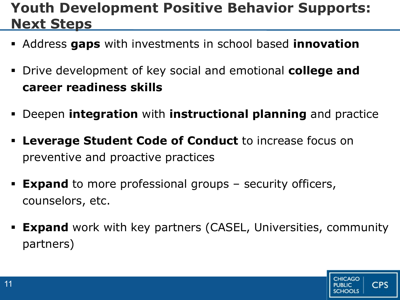## **Youth Development Positive Behavior Supports: Next Steps**

- Address **gaps** with investments in school based **innovation**
- Drive development of key social and emotional **college and career readiness skills**
- Deepen **integration** with **instructional planning** and practice
- **Leverage Student Code of Conduct** to increase focus on preventive and proactive practices
- **Expand** to more professional groups security officers, counselors, etc.
- **Expand** work with key partners (CASEL, Universities, community partners)